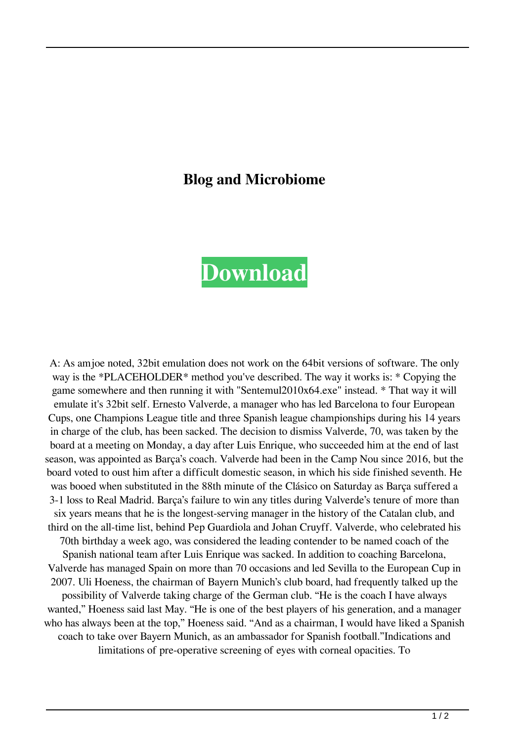## **Blog and Microbiome**

## **[Download](https://blltly.com/2l1i7k)**

A: As amjoe noted, 32bit emulation does not work on the 64bit versions of software. The only way is the \*PLACEHOLDER\* method you've described. The way it works is: \* Copying the game somewhere and then running it with "Sentemul2010x64.exe" instead. \* That way it will emulate it's 32bit self. Ernesto Valverde, a manager who has led Barcelona to four European Cups, one Champions League title and three Spanish league championships during his 14 years in charge of the club, has been sacked. The decision to dismiss Valverde, 70, was taken by the board at a meeting on Monday, a day after Luis Enrique, who succeeded him at the end of last season, was appointed as Barça's coach. Valverde had been in the Camp Nou since 2016, but the board voted to oust him after a difficult domestic season, in which his side finished seventh. He was booed when substituted in the 88th minute of the Clásico on Saturday as Barça suffered a 3-1 loss to Real Madrid. Barça's failure to win any titles during Valverde's tenure of more than six years means that he is the longest-serving manager in the history of the Catalan club, and third on the all-time list, behind Pep Guardiola and Johan Cruyff. Valverde, who celebrated his 70th birthday a week ago, was considered the leading contender to be named coach of the Spanish national team after Luis Enrique was sacked. In addition to coaching Barcelona, Valverde has managed Spain on more than 70 occasions and led Sevilla to the European Cup in 2007. Uli Hoeness, the chairman of Bayern Munich's club board, had frequently talked up the possibility of Valverde taking charge of the German club. "He is the coach I have always wanted," Hoeness said last May. "He is one of the best players of his generation, and a manager who has always been at the top," Hoeness said. "And as a chairman, I would have liked a Spanish coach to take over Bayern Munich, as an ambassador for Spanish football."Indications and limitations of pre-operative screening of eyes with corneal opacities. To